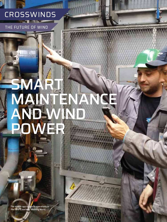## CROSSWINDS

THE FUTURE OF WIND

# **SMART** MAINTENANCE AND WIND POWER

XXXX

The mobile app supports operations in the field. (Courtesy: Mobility Work)

**36** NOVEMBER 2018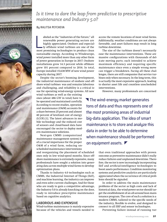

## *Is it time to dare the leap from predictive to prescriptive maintenance and Industry 5.0?*

### **By RALITSA PEYCHEVA**

abeled as the "industries of the future," all renewable power generating sectors are highly appreciated. On<br>shore and especially offshore wind turbines are one of the most promising technologies to produce clean abeled as the "industries of the future," all renewable power generating sectors are highly appreciated. Onshore and especially offshore wind turbines are one of the sustainable energy. According to Windeurope, wind power installed more than any other form of power generation in Europe in 2017. Onshore installations grew 14.3 percent while offshore grew 101 percent compared to 2016. In total, Europe installed 15,638 MW of new wind power capacity during 2017.

Despite the sector's booming development, the industrial maintenance of onshore and offshore wind turbines was and remains laborious and challenging, and reliability is a critical issue for operating wind-energy systems. All new

wind turbines as well as the existing ones (about 486 GW in total) have to be operated and maintained carefully. According to recent studies, operation and maintenance (O&M) accounts for a share between 25 percent and almost 40 percent of levelized cost of energy (LCOE) [1]. The latest advances in mobile technology and the reduced cost of sensors and cloud-based data have encouraged the sector to deploy modern maintenance solutions.

Next-gen CMMS (computerized maintenance management system) is of a crucial importance for the proper O&M of a wind farm, reducing unscheduled maintenance interventions

and reorganizing the placement of scheduled ones only in low wind-speed months. Since offshore maintenance is extremely expensive, many professionals have sought a solution into generating data across multiple wind farms to develop optimization plans.

Thanks to Industry 4.0 technologies such as CMMS, the Industrial Internet of Things (IIoT), and machine learning, the industry can improve and even solve current challenges. And for those who are ready to gain a competitive advantage, the Industry 5.0 is already knocking on the door, ready to introduce prescriptive maintenance based on cognitive analytics.

## LABORIOUS AND EXPENSIVE

Wind-turbine maintenance is mainly expensive because of the vehicles and vessels needed to access the remote locations of most wind farms. Additionally, weather conditions are not always favorable, and asset failures may result in long turbine downtime.

The size of the turbines doesn't necessarily ease the maintenance interventions. These are massive configurations with thousands of delicate moving parts; each intended to achieve maximum efficiency and requiring specific maintenance since even a simple wrong move can trigger a breakdown. Facing all these challenges, there are still companies that service turbines only when necessary. In the long term, this is actually the most expensive approach, leading to shorter asset life and countless unscheduled interventions.

However, many professionals are concerned

The wind-energy market generates tons of data and thus represents one of the most promising areas of industrial big-data application. The idea of smart maintenance is to store and analyze this data in order to be able to determine when maintenance should be performed on equipment assets.

> that even traditional approaches with proven outcome as preventive maintenance didn't really reduce failures and unplanned downtime. Therefore, the sector is now increasingly incorporating IIoT and artificial-intelligence technologies to boost assets performance. Condition monitoring systems and predictive analytics are particularly appreciated when the occurrence of critical problems should be signaled.

> In order to address the main maintenance problems of the sector as high costs and lack of historical data, the wind-power sector should target the establishment of an all-around lean maintenance program. The core of such a solution is a modern CMMS, tailored to the specific needs of the industry, flexible to evolve, and designed to connect to all ERP and sensor technologies.

Preventing failure instead of running tur-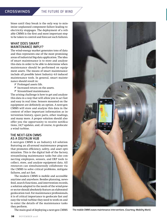bines until they break is the only way to minimize unplanned component failure leading to electricity stoppages. The deployment of a reliable CMMS is the first and most important step to be taken to control and forecast such failures.

## WHAT DOES SMART MAINTENANCE IMPLY?

The wind-energy market generates tons of data and thus represents one of the most promising areas of industrial big-data application. The idea of smart maintenance is to store and analyze this data in order to be able to determine when maintenance should be performed on equipment assets. The means of smart maintenance include all possible latest Industry 4.0 induced maintenance tools. In general, smart maintenance should result in:

- $\blacktriangleright$  Prolonged assets life.
- $\blacktriangleright$  Increased return on the assets.
- $\blacktriangleright$  Streamlined maintenance.

The arising challenge is how to get and analyze this data in a way that will allow you to act fast and easy in real time. Sensors mounted on the equipment are definitely an option. A next-gen CMMS will store and analyze this data in the context of other important information as intervention history, spare parts, other readings, and many more. A proper solution should also offer you the opportunity to receive notifications, 24/7 updates, and, of course, to geolocate a wind turbine.

## THE NEXT-GEN CMMS AS A DIGITALW HUB

A next-gen CMMS is an Industry 4.0 solution featuring an all-around maintenance program that promotes efficiency, safety, and asset optimization. This is the digital hub of the factory, streamlining maintenance tasks but also connecting employees, sensors, and ERP tools to collect, store, and analyze equipment data. All resources can simultaneously collaborate via the CMMS to solve critical problems, mitigate failures, and act fast.

The modern CMMS is mobile and accessible anytime and anywhere. Besides planning, newsfeed, search functions, and intervention records, a solution adapted to the needs of the wind-power sector should absolutely feature an elaborated geolocation tool. For maintenance professionals, it is of critical importance to geolocate fast and easy the wind turbine they need to work on and to enter the details of the maintenance tasks they perform.

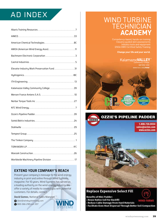## AD INDEX

| AWEA (American Wind Energy Assn)11           |
|----------------------------------------------|
|                                              |
|                                              |
| Elevator Industry Work Preservation Fund  31 |
|                                              |
|                                              |
| Kalamazoo Valley Community College39         |
|                                              |
|                                              |
|                                              |
|                                              |
|                                              |
|                                              |
|                                              |
|                                              |
|                                              |
|                                              |
| Worldwide Machineru Pipeline Division  17    |

## **EXTEND YOUR COMPANY'S REACH**

Present your company's message to the wind-energy industry in print and online through Wind Systems magazine. For 10 years, Wind Systems has served as a leading authority on the wind-energy industry. We offer a variety of media to connect you with potential customers. For details, contact:

**David Gomez,** National Sales Manager

- [dave@windsystemsmag.com](mailto:dave@windsystemsmag.com?subject=Referred by Wind Systems) @
- 800-366-2185 ext. 207

## **WIND TURBINE** TECHNICIAN<br>**ACADEMY**

Competency-based, hands-on training<br>Industry-guided skill assessments<br>Industry tools and equipment<br>ENSA GWO Certified Safety Training

Change your life and your world.

KalamazooVALLEY





**Benefits of Mini-Padder:** · Reuse Native Soil For Backfill WIND FAR · Reduce Cable Damage From Hard Materials Facilitate Even Heat Dispersal Through Better Soil Compaction